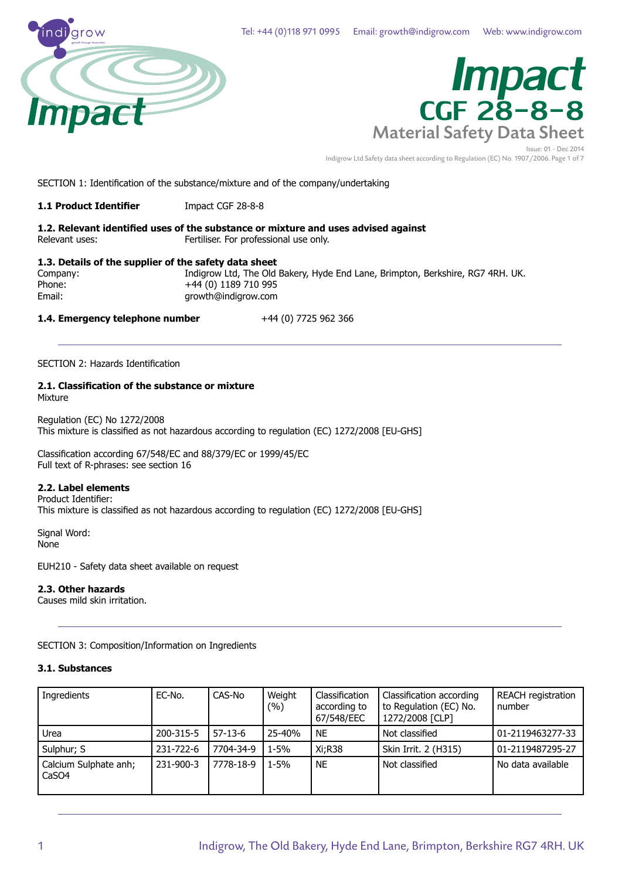



Indigrow Ltd Safety data sheet according to Regulation (EC) No. 1907/2006. Page 1 of 7

SECTION 1: Identification of the substance/mixture and of the company/undertaking

**1.1 Product Identifier** Impact CGF 28-8-8

**1.2. Relevant identified uses of the substance or mixture and uses advised against** Relevant uses: Fertiliser. For professional use only.

**1.3. Details of the supplier of the safety data sheet** Company: Indigrow Ltd, The Old Bakery, Hyde End Lane, Brimpton, Berkshire, RG7 4RH. UK.<br>Phone: 189710 995 +44 (0) 1189 710 995

Email: growth@indigrow.com

**1.4. Emergency telephone number** +44 (0) 7725 962 366

SECTION 2: Hazards Identification

#### **2.1. Classification of the substance or mixture** Mixture

Regulation (EC) No 1272/2008 This mixture is classified as not hazardous according to regulation (EC) 1272/2008 [EU-GHS]

Classification according 67/548/EC and 88/379/EC or 1999/45/EC Full text of R-phrases: see section 16

#### **2.2. Label elements**

Product Identifier: This mixture is classified as not hazardous according to regulation (EC) 1272/2008 [EU-GHS]

Signal Word: None

EUH210 - Safety data sheet available on request

#### **2.3. Other hazards**

Causes mild skin irritation.

SECTION 3: Composition/Information on Ingredients

#### **3.1. Substances**

| Ingredients                    | EC-No.    | CAS-No    | Weight<br>$(\%)$ | Classification<br>according to<br>67/548/EEC | Classification according<br>to Regulation (EC) No.<br>1272/2008 [CLP] | REACH registration<br>number |
|--------------------------------|-----------|-----------|------------------|----------------------------------------------|-----------------------------------------------------------------------|------------------------------|
| Urea                           | 200-315-5 | $57-13-6$ | 25-40%           | <b>NE</b>                                    | Not classified                                                        | 01-2119463277-33             |
| Sulphur; S                     | 231-722-6 | 7704-34-9 | $1 - 5%$         | Xi:R38                                       | Skin Irrit. 2 (H315)                                                  | 01-2119487295-27             |
| Calcium Sulphate anh;<br>CaSO4 | 231-900-3 | 7778-18-9 | $1 - 5%$         | <b>NE</b>                                    | Not classified                                                        | No data available            |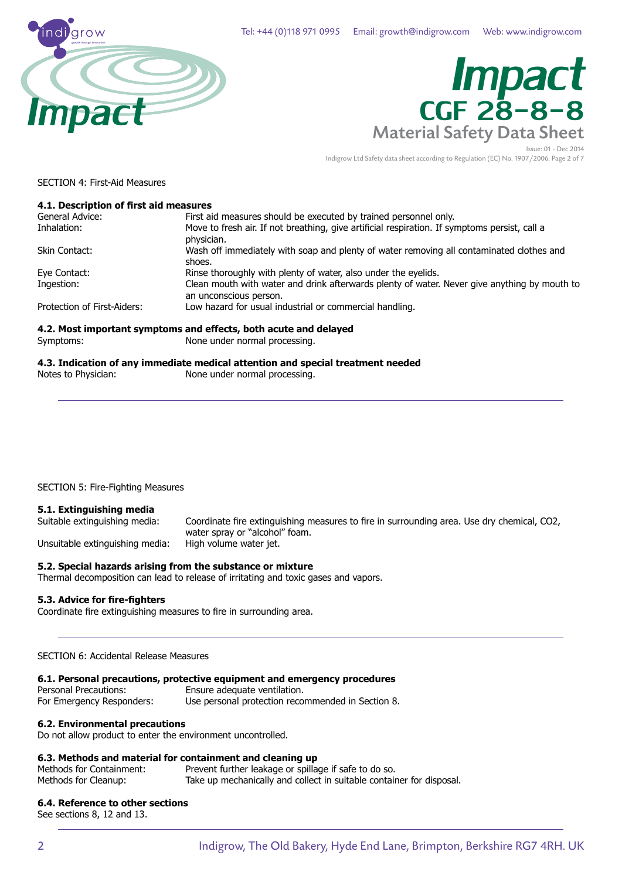

# Material Safety Data Sheet *Impact* CGF 28-8-8

Issue: 01 - Dec 2014 Indigrow Ltd Safety data sheet according to Regulation (EC) No. 1907/2006. Page 2 of 7

SECTION 4: First-Aid Measures

#### **4.1. Description of first aid measures**

| General Advice:             | First aid measures should be executed by trained personnel only.                                                       |
|-----------------------------|------------------------------------------------------------------------------------------------------------------------|
| Inhalation:                 | Move to fresh air. If not breathing, give artificial respiration. If symptoms persist, call a<br>physician.            |
| Skin Contact:               | Wash off immediately with soap and plenty of water removing all contaminated clothes and<br>shoes.                     |
| Eye Contact:                | Rinse thoroughly with plenty of water, also under the eyelids.                                                         |
| Ingestion:                  | Clean mouth with water and drink afterwards plenty of water. Never give anything by mouth to<br>an unconscious person. |
| Protection of First-Aiders: | Low hazard for usual industrial or commercial handling.                                                                |
|                             | 4.2. Most important symptoms and effects, both acute and delayed                                                       |
| Symptoms:                   | None under normal processing.                                                                                          |
|                             |                                                                                                                        |

**4.3. Indication of any immediate medical attention and special treatment needed** Notes to Physician: None under normal processing.

SECTION 5: Fire-Fighting Measures

### **5.1. Extinguishing media**

Unsuitable extinguishing media: High volume water jet.

Coordinate fire extinguishing measures to fire in surrounding area. Use dry chemical, CO2, water spray or "alcohol" foam.

#### **5.2. Special hazards arising from the substance or mixture**

Thermal decomposition can lead to release of irritating and toxic gases and vapors.

#### **5.3. Advice for fire-fighters**

Coordinate fire extinguishing measures to fire in surrounding area.

SECTION 6: Accidental Release Measures

#### **6.1. Personal precautions, protective equipment and emergency procedures**

Personal Precautions: Ensure adequate ventilation. For Emergency Responders: Use personal protection recommended in Section 8.

#### **6.2. Environmental precautions**

Do not allow product to enter the environment uncontrolled.

#### **6.3. Methods and material for containment and cleaning up**

| Methods for Containment: | Prevent further leakage or spillage if safe to do so.                |
|--------------------------|----------------------------------------------------------------------|
| Methods for Cleanup:     | Take up mechanically and collect in suitable container for disposal. |

#### **6.4. Reference to other sections**

See sections 8, 12 and 13.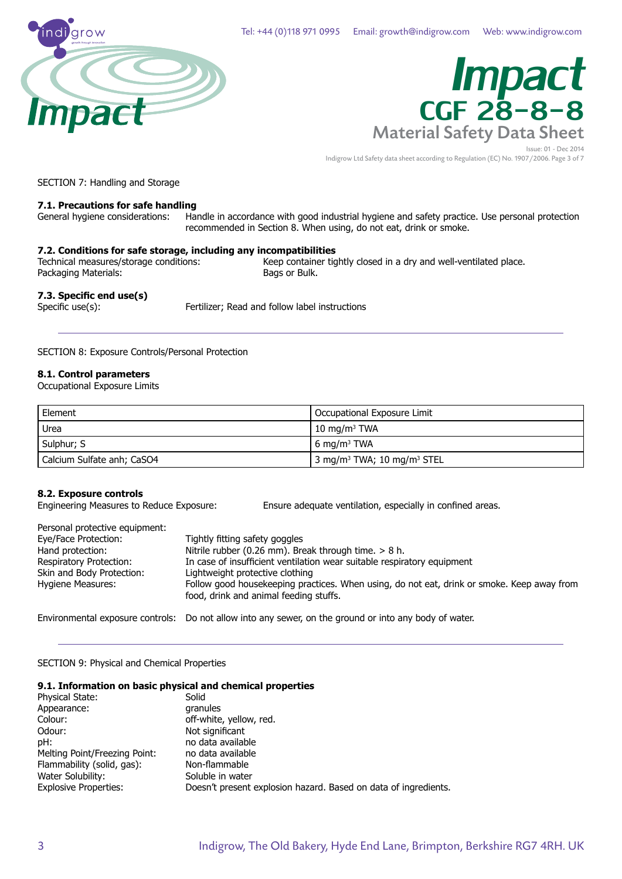



Issue: 01 - Dec 2014 Indigrow Ltd Safety data sheet according to Regulation (EC) No. 1907/2006. Page 3 of 7

SECTION 7: Handling and Storage

### **7.1. Precautions for safe handling**

Handle in accordance with good industrial hygiene and safety practice. Use personal protection recommended in Section 8. When using, do not eat, drink or smoke.

#### **7.2. Conditions for safe storage, including any incompatibilities**

Packaging Materials:

Technical measures/storage conditions: Keep container tightly closed in a dry and well-ventilated place.<br>Packaging Materials: Bags or Bulk.

#### **7.3. Specific end use(s)**

Specific use(s): Fertilizer; Read and follow label instructions

#### SECTION 8: Exposure Controls/Personal Protection

#### **8.1. Control parameters**

Occupational Exposure Limits

| Element                    | Occupational Exposure Limit                        |
|----------------------------|----------------------------------------------------|
| Urea                       | $10 \text{ mg/m}^3$ TWA                            |
| Sulphur; S                 | l 6 ma/m <sup>3</sup> TWA                          |
| Calcium Sulfate anh; CaSO4 | 3 mg/m <sup>3</sup> TWA; 10 mg/m <sup>3</sup> STEL |

#### **8.2. Exposure controls**

Engineering Measures to Reduce Exposure: Ensure adequate ventilation, especially in confined areas.

| Personal protective equipment: |                                                                                                                                      |
|--------------------------------|--------------------------------------------------------------------------------------------------------------------------------------|
| Eye/Face Protection:           | Tightly fitting safety goggles                                                                                                       |
| Hand protection:               | Nitrile rubber (0.26 mm). Break through time. $> 8$ h.                                                                               |
| Respiratory Protection:        | In case of insufficient ventilation wear suitable respiratory equipment                                                              |
| Skin and Body Protection:      | Lightweight protective clothing                                                                                                      |
| Hygiene Measures:              | Follow good housekeeping practices. When using, do not eat, drink or smoke. Keep away from<br>food, drink and animal feeding stuffs. |
|                                | Environmental exposure controls: Do not allow into any sewer, on the ground or into any body of water.                               |

SECTION 9: Physical and Chemical Properties

#### **9.1. Information on basic physical and chemical properties**

| Physical State:               | Solid                                                           |
|-------------------------------|-----------------------------------------------------------------|
| Appearance:                   | granules                                                        |
| Colour:                       | off-white, yellow, red.                                         |
| Odour:                        | Not significant                                                 |
| pH:                           | no data available                                               |
| Melting Point/Freezing Point: | no data available                                               |
| Flammability (solid, gas):    | Non-flammable                                                   |
| Water Solubility:             | Soluble in water                                                |
| <b>Explosive Properties:</b>  | Doesn't present explosion hazard. Based on data of ingredients. |
|                               |                                                                 |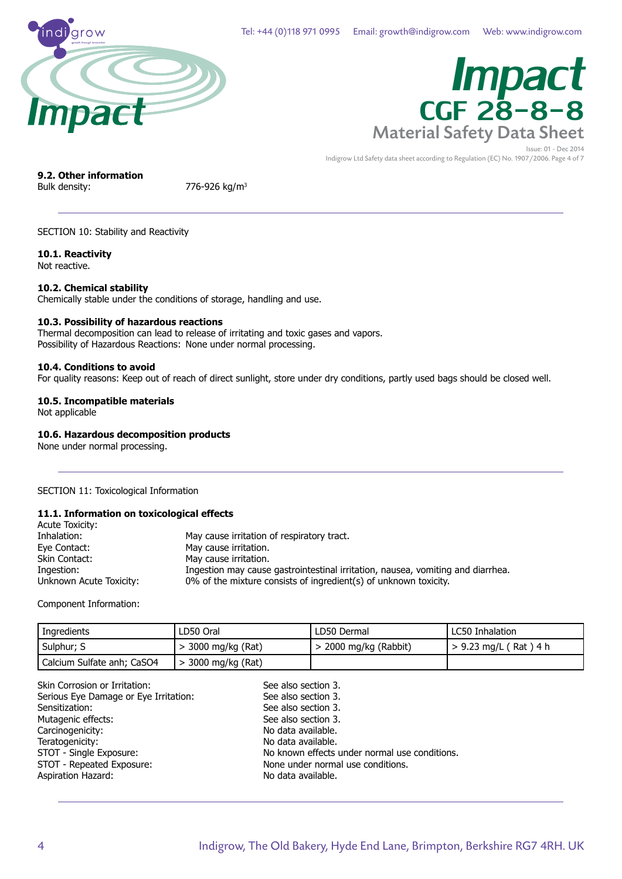

# Material Safety Data Sheet *Impact* CGF 28-8-8

Issue: 01 - Dec 2014 Indigrow Ltd Safety data sheet according to Regulation (EC) No. 1907/2006. Page 4 of 7

### **9.2. Other information**

Bulk density: 776-926 kg/m<sup>3</sup>

#### SECTION 10: Stability and Reactivity

#### **10.1. Reactivity**

Not reactive.

**10.2. Chemical stability** Chemically stable under the conditions of storage, handling and use.

#### **10.3. Possibility of hazardous reactions**

Thermal decomposition can lead to release of irritating and toxic gases and vapors. Possibility of Hazardous Reactions: None under normal processing.

#### **10.4. Conditions to avoid**

For quality reasons: Keep out of reach of direct sunlight, store under dry conditions, partly used bags should be closed well.

#### **10.5. Incompatible materials**

Not applicable

#### **10.6. Hazardous decomposition products**

None under normal processing.

SECTION 11: Toxicological Information

#### **11.1. Information on toxicological effects**

| Acute Toxicity:         |                                                                                 |
|-------------------------|---------------------------------------------------------------------------------|
| Inhalation:             | May cause irritation of respiratory tract.                                      |
| Eye Contact:            | May cause irritation.                                                           |
| Skin Contact:           | May cause irritation.                                                           |
| Ingestion:              | Ingestion may cause gastrointestinal irritation, nausea, vomiting and diarrhea. |
| Unknown Acute Toxicity: | 0% of the mixture consists of ingredient(s) of unknown toxicity.                |

Component Information:

| Ingredients                | LD50 Oral            | LD50 Dermal             | LC50 Inhalation         |
|----------------------------|----------------------|-------------------------|-------------------------|
| Sulphur; S                 | $>$ 3000 mg/kg (Rat) | $>$ 2000 mg/kg (Rabbit) | $> 9.23$ mg/L (Rat) 4 h |
| Calcium Sulfate anh; CaSO4 | > 3000 mg/kg (Rat)   |                         |                         |

See also section 3.

| Skin Corrosion or Irritation:         |
|---------------------------------------|
| Serious Eye Damage or Eye Irritation: |
| Sensitization:                        |
| Mutagenic effects:                    |
| Carcinogenicity:                      |
| Teratogenicity:                       |
| STOT - Single Exposure:               |
| STOT - Repeated Exposure:             |
| <b>Aspiration Hazard:</b>             |
|                                       |

See also section 3. See also section 3. See also section 3. No data available. No data available. No known effects under normal use conditions. None under normal use conditions. No data available.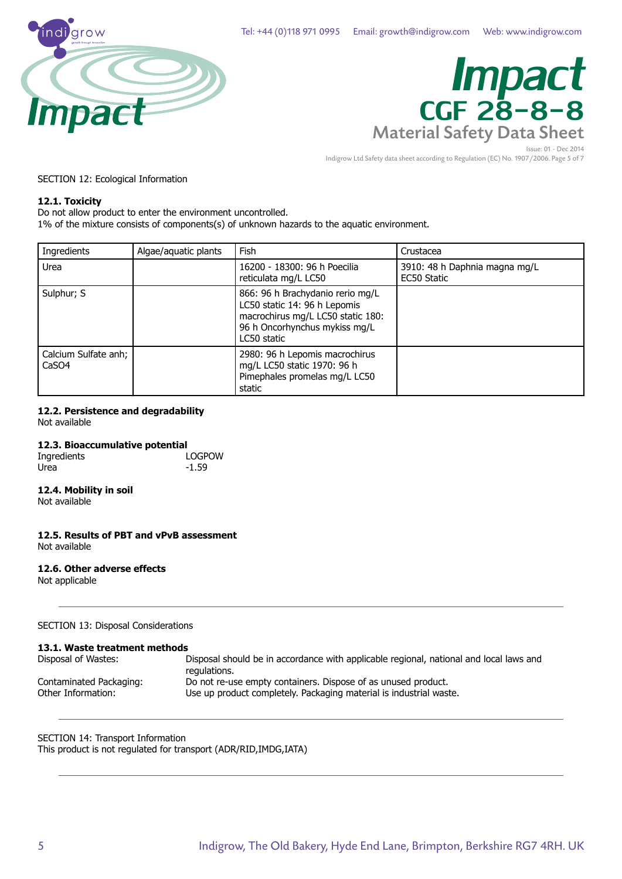

# Material Safety Data Sheet *Impact* CGF 28-8-8

Issue: 01 - Dec 2014 Indigrow Ltd Safety data sheet according to Regulation (EC) No. 1907/2006. Page 5 of 7

#### SECTION 12: Ecological Information

#### **12.1. Toxicity**

Do not allow product to enter the environment uncontrolled.

1% of the mixture consists of components(s) of unknown hazards to the aquatic environment.

| Ingredients                               | Algae/aquatic plants | Fish                                                                                                                                                  | Crustacea                                    |
|-------------------------------------------|----------------------|-------------------------------------------------------------------------------------------------------------------------------------------------------|----------------------------------------------|
| Urea                                      |                      | 16200 - 18300: 96 h Poecilia<br>reticulata mg/L LC50                                                                                                  | 3910: 48 h Daphnia magna mg/L<br>EC50 Static |
| Sulphur; S                                |                      | 866: 96 h Brachydanio rerio mg/L<br>LC50 static 14: 96 h Lepomis<br>macrochirus mg/L LC50 static 180:<br>96 h Oncorhynchus mykiss mg/L<br>LC50 static |                                              |
| Calcium Sulfate anh;<br>CaSO <sub>4</sub> |                      | 2980: 96 h Lepomis macrochirus<br>mg/L LC50 static 1970: 96 h<br>Pimephales promelas mg/L LC50<br>static                                              |                                              |

#### **12.2. Persistence and degradability**

Not available

#### **12.3. Bioaccumulative potential**

| Ingredients | LOGPOW  |
|-------------|---------|
| Urea        | $-1.59$ |

#### **12.4. Mobility in soil**

Not available

**12.5. Results of PBT and vPvB assessment** Not available

#### **12.6. Other adverse effects**

Not applicable

SECTION 13: Disposal Considerations

#### **13.1. Waste treatment methods**

| Disposal of Wastes:     | Disposal should be in accordance with applicable regional, national and local laws and<br>regulations. |
|-------------------------|--------------------------------------------------------------------------------------------------------|
| Contaminated Packaging: | Do not re-use empty containers. Dispose of as unused product.                                          |
| Other Information:      | Use up product completely. Packaging material is industrial waste.                                     |

SECTION 14: Transport Information This product is not regulated for transport (ADR/RID,IMDG,IATA)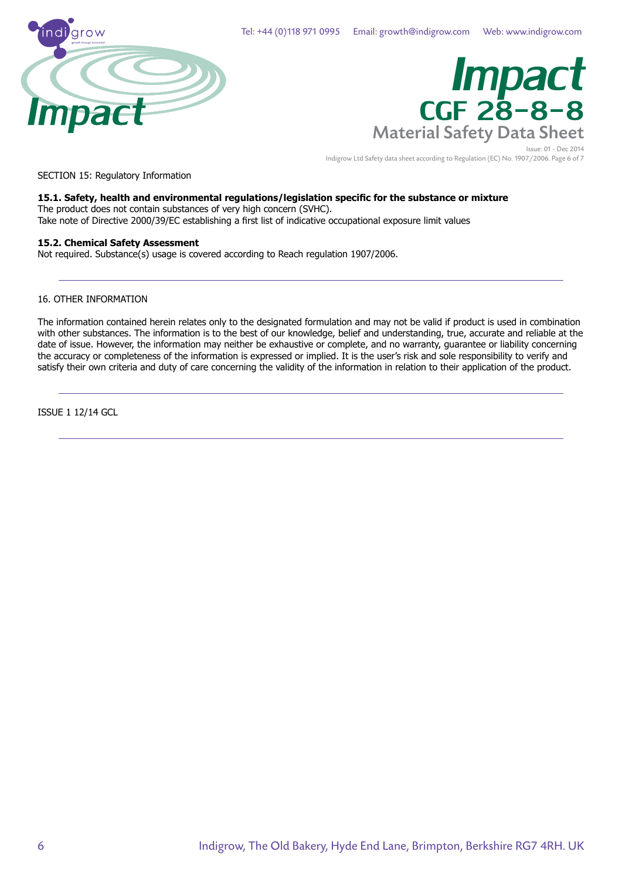



Issue: 01 - Dec 2014 Indigrow Ltd Safety data sheet according to Regulation (EC) No. 1907/2006. Page 6 of 7

SECTION 15: Regulatory Information

#### **15.1. Safety, health and environmental regulations/legislation specific for the substance or mixture**

The product does not contain substances of very high concern (SVHC). Take note of Directive 2000/39/EC establishing a first list of indicative occupational exposure limit values

#### **15.2. Chemical Safety Assessment**

Not required. Substance(s) usage is covered according to Reach regulation 1907/2006.

#### 16. OTHER INFORMATION

The information contained herein relates only to the designated formulation and may not be valid if product is used in combination with other substances. The information is to the best of our knowledge, belief and understanding, true, accurate and reliable at the date of issue. However, the information may neither be exhaustive or complete, and no warranty, guarantee or liability concerning the accuracy or completeness of the information is expressed or implied. It is the user's risk and sole responsibility to verify and satisfy their own criteria and duty of care concerning the validity of the information in relation to their application of the product.

ISSUE 1 12/14 GCL